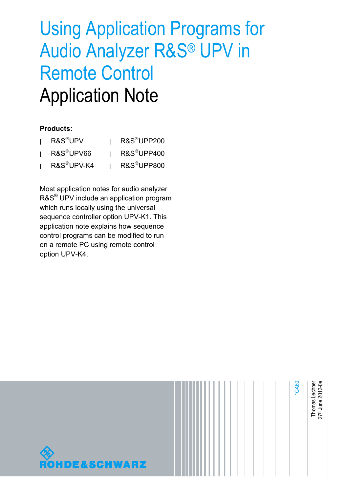# Using Application Programs for Audio Analyzer R&S® UPV in Remote Control Application Note

#### **Products:**

| I R&S <sup>®</sup> UPV  | R&S <sup>®</sup> UPP200 |
|-------------------------|-------------------------|
| R&S <sup>®</sup> UPV66  | R&S <sup>®</sup> UPP400 |
| R&S <sup>®</sup> UPV-K4 | R&S <sup>®</sup> UPP800 |

Most application notes for audio analyzer R&S® UPV include an application program which runs locally using the universal sequence controller option UPV-K1. This application note explains how sequence control programs can be modified to run on a remote PC using remote control option UPV-K4.

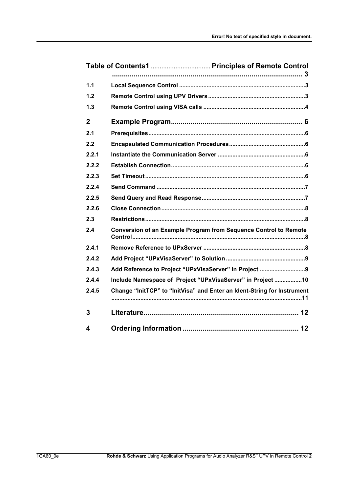| 1.1          |                                                                         |
|--------------|-------------------------------------------------------------------------|
| 1.2          |                                                                         |
| 1.3          |                                                                         |
| $\mathbf{2}$ |                                                                         |
| 2.1          |                                                                         |
| 2.2          |                                                                         |
| 2.2.1        |                                                                         |
| 2.2.2        |                                                                         |
| 2.2.3        |                                                                         |
| 2.2.4        |                                                                         |
| 2.2.5        |                                                                         |
| 2.2.6        |                                                                         |
| 2.3          |                                                                         |
| 2.4          | Conversion of an Example Program from Sequence Control to Remote        |
| 2.4.1        |                                                                         |
| 2.4.2        |                                                                         |
| 2.4.3        |                                                                         |
| 2.4.4        | Include Namespace of Project "UPxVisaServer" in Project 10              |
| 2.4.5        | Change "InitTCP" to "InitVisa" and Enter an Ident-String for Instrument |
| 3            |                                                                         |
| 4            |                                                                         |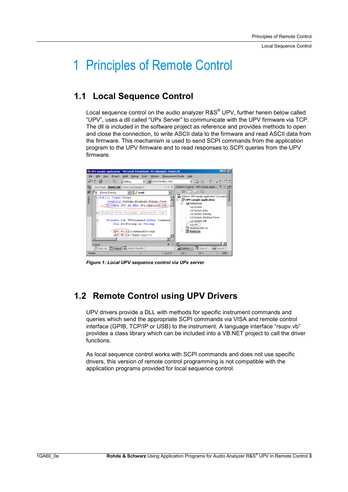# 1 Principles of Remote Control

## **1.1 Local Sequence Control**

Local sequence control on the audio analyzer R&S® UPV, further herein below called "UPV", uses a dll called "UPx Server" to communicate with the UPV firmware via TCP. The dll is included in the software project as reference and provides methods to open and close the connection, to write ASCII data to the firmware and read ASCII data from the firmware. This mechanism is used to send SCPI commands from the application program to the UPV firmware and to read responses to SCPI queries from the UPV firmware.



*Figure 1: Local UPV sequence control via UPx server* 

# **1.2 Remote Control using UPV Drivers**

UPV drivers provide a DLL with methods for specific instrument commands and queries which send the appropriate SCPI commands via VISA and remote control interface (GPIB, TCP/IP or USB) to the instrument. A language interface "rsupv.vb" provides a class library which can be included into a VB.NET project to call the driver functions.

As local sequence control works with SCPI commands and does not use specific drivers, this version of remote control programming is not compatible with the application programs provided for local sequence control.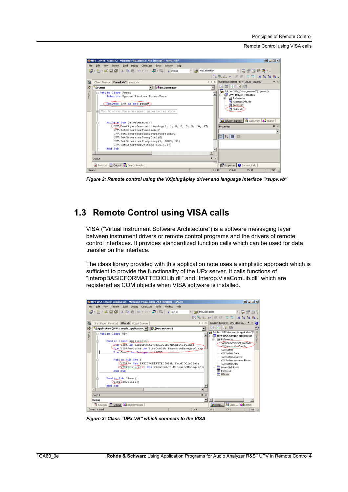Remote Control using VISA calls



*Figure 2: Remote control using the VXIplug&play driver and language interface "rsupv.vb"* 

### **1.3 Remote Control using VISA calls**

VISA ("Virtual Instrument Software Architecture") is a software messaging layer between instrument drivers or remote control programs and the drivers of remote control interfaces. It provides standardized function calls which can be used for data transfer on the interface.

The class library provided with this application note uses a simplistic approach which is sufficient to provide the functionality of the UPx server. It calls functions of "InteropBASICFORMATTEDIOLib.dll" and "Interop.VisaComLib.dll" which are registered as COM objects when VISA software is installed.



*Figure 3: Class "UPx.VB" which connects to the VISA*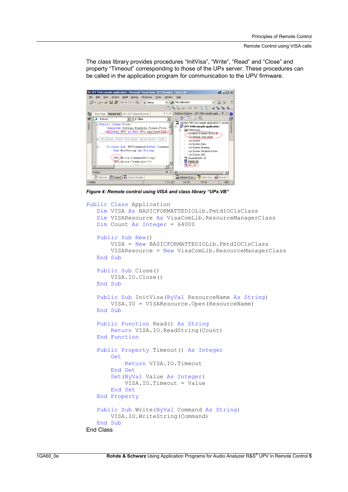The class library provides procedures "InitVisa", "Write", "Read" and "Close" and property "Timeout" corresponding to those of the UPx server. These procedures can be called in the application program for communication to the UPV firmware.



*Figure 4: Remote control using VISA and class library "UPx.VB"* 

```
Public Class Application 
   Dim VISA As BASICFORMATTEDIOLib.FmtdIOClsClass 
   Dim VISAResource As VisaComLib.ResourceManagerClass 
   Dim Count As Integer = 64000 
   Public Sub New() 
       VISA = New BASICFORMATTEDIOLib.FmtdIOClsClass 
       VISAResource = New VisaComLib.ResourceManagerClass 
   End Sub 
   Public Sub Close() 
       VISA.IO.Close() 
   End Sub 
   Public Sub InitVisa(ByVal ResourceName As String)
       VISA.IO = VISAResource.Open(ResourceName) 
   End Sub 
   Public Function Read() As String 
       Return VISA.IO.ReadString(Count) 
   End Function 
   Public Property Timeout() As Integer 
       Get 
           Return VISA.IO.Timeout 
       End Get 
       Set(ByVal Value As Integer)
           VISA.IO.Timeout = Value 
       End Set 
   End Property 
   Public Sub Write(ByVal Command As String)
       VISA.IO.WriteString(Command) 
   End Sub 
End Class
```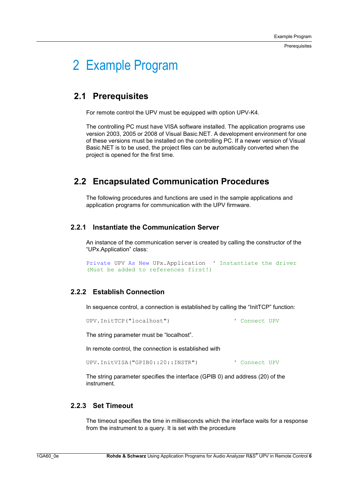Prerequisites

# 2 Example Program

### **2.1 Prerequisites**

For remote control the UPV must be equipped with option UPV-K4.

The controlling PC must have VISA software installed. The application programs use version 2003, 2005 or 2008 of Visual Basic.NET. A development environment for one of these versions must be installed on the controlling PC. If a newer version of Visual Basic.NET is to be used, the project files can be automatically converted when the project is opened for the first time.

### **2.2 Encapsulated Communication Procedures**

The following procedures and functions are used in the sample applications and application programs for communication with the UPV firmware.

#### **2.2.1 Instantiate the Communication Server**

An instance of the communication server is created by calling the constructor of the "UPx.Application" class:

```
Private UPV As New UPx.Application ' Instantiate the driver 
(Must be added to references first!)
```
#### **2.2.2 Establish Connection**

In sequence control, a connection is established by calling the "InitTCP" function:

UPV.InitTCP("localhost") ' Connect UPV

The string parameter must be "localhost".

In remote control, the connection is established with

UPV.InitVISA("GPIB0::20::INSTR") ' Connect UPV

The string parameter specifies the interface (GPIB 0) and address (20) of the instrument.

#### **2.2.3 Set Timeout**

The timeout specifies the time in milliseconds which the interface waits for a response from the instrument to a query. It is set with the procedure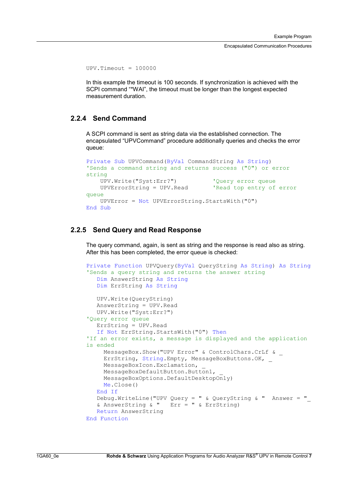Encapsulated Communication Procedures

```
UPV.\nTimeout = 100000
```
In this example the timeout is 100 seconds. If synchronization is achieved with the SCPI command "\*WAI", the timeout must be longer than the longest expected measurement duration.

#### **2.2.4 Send Command**

A SCPI command is sent as string data via the established connection. The encapsulated "UPVCommand" procedure additionally queries and checks the error queue:

```
Private Sub UPVCommand(ByVal CommandString As String)
'Sends a command string and returns success ("0") or error 
string 
   UPV.Write("Syst:Err?") 'Query error queue 
   UPVErrorString = UPV.Read 'Read top entry of error 
queue 
   UPVError = Not UPVErrorString.StartsWith("0") 
End Sub
```
#### **2.2.5 Send Query and Read Response**

The query command, again, is sent as string and the response is read also as string. After this has been completed, the error queue is checked:

```
Private Function UPVQuery(ByVal QueryString As String) As String
'Sends a query string and returns the answer string 
   Dim AnswerString As String 
  Dim ErrString As String 
  UPV.Write(QueryString) 
  AnswerString = UPV.Read 
  UPV.Write("Syst:Err?") 
'Query error queue 
  ErrString = UPV.Read 
   If Not ErrString.StartsWith("0") Then
'If an error exists, a message is displayed and the application 
is ended 
     MessageBox.Show("UPV Error" & ControlChars.CrLf & _ 
     ErrString, String.Empty, MessageBoxButtons.OK, _ 
    MessageBoxIcon.Exclamation,
    MessageBoxDefaultButton.Button1,
    MessageBoxOptions.DefaultDesktopOnly) 
    Me.Close() 
   End If 
   Debug.WriteLine("UPV Query = " & QueryString & " Answer = "
  & AnswerString & " Err = " & ErrString) 
  Return AnswerString 
End Function
```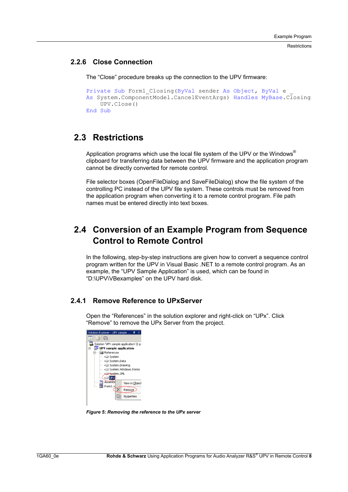**Restrictions** 

#### **2.2.6 Close Connection**

The "Close" procedure breaks up the connection to the UPV firmware:

```
Private Sub Form1 Closing(ByVal sender As Object, ByVal e
As System.ComponentModel.CancelEventArgs) Handles MyBase.Closing 
    UPV.Close() 
End Sub
```
### **2.3 Restrictions**

Application programs which use the local file system of the UPV or the Windows<sup>®</sup> clipboard for transferring data between the UPV firmware and the application program cannot be directly converted for remote control.

File selector boxes (OpenFileDialog and SaveFileDialog) show the file system of the controlling PC instead of the UPV file system. These controls must be removed from the application program when converting it to a remote control program. File path names must be entered directly into text boxes.

# **2.4 Conversion of an Example Program from Sequence Control to Remote Control**

In the following, step-by-step instructions are given how to convert a sequence control program written for the UPV in Visual Basic .NET to a remote control program. As an example, the "UPV Sample Application" is used, which can be found in "D:\UPV\VBexamples" on the UPV hard disk.

#### **2.4.1 Remove Reference to UPxServer**

Open the "References" in the solution explorer and right-click on "UPx". Click "Remove" to remove the UPx Server from the project.



*Figure 5: Removing the reference to the UPx server*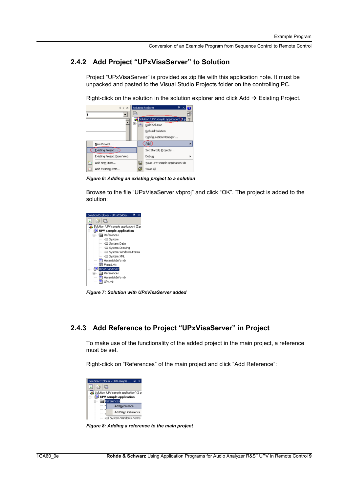Conversion of an Example Program from Sequence Control to Remote Control

#### **2.4.2 Add Project "UPxVisaServer" to Solution**

Project "UPxVisaServer" is provided as zip file with this application note. It must be unpacked and pasted to the Visual Studio Projects folder on the controlling PC.

Right-click on the solution in the solution explorer and click Add  $\rightarrow$  Existing Project.



*Figure 6: Adding an existing project to a solution* 

Browse to the file "UPxVisaServer.vbproj" and click "OK". The project is added to the solution:



*Figure 7: Solution with UPxVisaServer added* 

#### **2.4.3 Add Reference to Project "UPxVisaServer" in Project**

To make use of the functionality of the added project in the main project, a reference must be set.

Right-click on "References" of the main project and click "Add Reference":



*Figure 8: Adding a reference to the main project*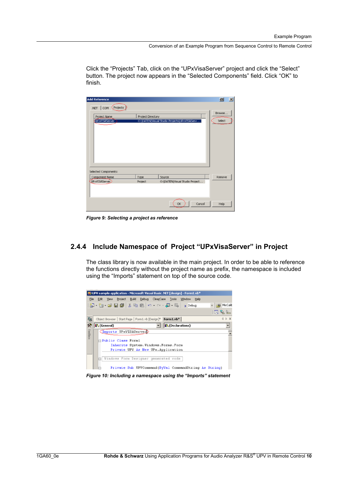Conversion of an Example Program from Sequence Control to Remote Control

| Click the "Projects" Tab, click on the "UPxVisaServer" project and click the "Select" |
|---------------------------------------------------------------------------------------|
| button. The project now appears in the "Selected Components" field. Click "OK" to     |
| finish.                                                                               |

| <b>Add Reference</b>                                           |                   |                                             | 日      |
|----------------------------------------------------------------|-------------------|---------------------------------------------|--------|
| Projects $\mathbb D$<br><b>COM</b><br>.NET                     |                   |                                             |        |
| Project Name                                                   | Project Directory |                                             | Browse |
| <b>UPxVISAServer</b>                                           |                   | O:\DATEN\Visual Studio Projects\UPxVISAServ | Select |
|                                                                |                   |                                             |        |
|                                                                |                   |                                             |        |
|                                                                |                   |                                             |        |
|                                                                |                   |                                             |        |
|                                                                |                   |                                             |        |
|                                                                |                   |                                             |        |
|                                                                |                   |                                             |        |
|                                                                | Type              | Source                                      | Remove |
| Selected Components:<br>Component Name<br><b>UPxVISAServer</b> | Project           | O:\DATEN\Visual Studio Project              |        |
|                                                                |                   |                                             |        |
|                                                                |                   |                                             |        |
|                                                                |                   | Cancel<br>OK                                | Help   |

*Figure 9: Selecting a project as reference* 

#### **2.4.4 Include Namespace of Project "UPxVisaServer" in Project**

The class library is now available in the main project. In order to be able to reference the functions directly without the project name as prefix, the namespace is included using the "Imports" statement on top of the source code.

|         | ** UPV sample application - Microsoft Visual Basic .NET [design] - Form1.vb* |                  |  |  |
|---------|------------------------------------------------------------------------------|------------------|--|--|
| File    | Project Build Debug ClearCase Tools<br>Window<br>Edit View<br>Help           |                  |  |  |
|         | 御・袖・手 日 印 太 毛 己   ハ・ヘ・タ・马  <br>$\triangleright$ Debug                        | MicCalib         |  |  |
|         |                                                                              | $R_{\rm h}$<br>瞳 |  |  |
|         | Object Browser   Start Page   Form1.vb [Design]* Form1.vb*                   | 4 b x            |  |  |
| 퍗       | <b>IN</b> (Declarations)<br><b>IA</b> (General)                              |                  |  |  |
| Toolbox | (Imports UPxVISAServer)                                                      |                  |  |  |
|         | <b>□ Public Class Form1</b>                                                  |                  |  |  |
|         | Inherits System. Windows. Forms. Form                                        |                  |  |  |
|         | Private UPV As New UPx. Application                                          |                  |  |  |
|         | Windows Form Designer generated code<br>m                                    |                  |  |  |
|         | Private Sub UPVCommand (ByVal CommandString As String)                       |                  |  |  |

*Figure 10: Including a namespace using the "Imports" statement*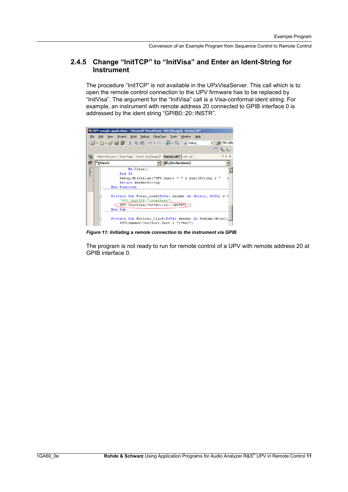#### **2.4.5 Change "InitTCP" to "InitVisa" and Enter an Ident-String for Instrument**

The procedure "InitTCP" is not available in the UPxVisaServer. This call which is to open the remote control connection to the UPV firmware has to be replaced by "InitVisa". The argument for the "InitVisa" call is a Visa-conformal ident string. For example, an instrument with remote address 20 connected to GPIB interface 0 is addressed by the ident string "GPIB0::20::INSTR".



*Figure 11: Initiating a remote connection to the instrument via GPIB* 

The program is not ready to run for remote control of a UPV with remote address 20 at GPIB interface 0.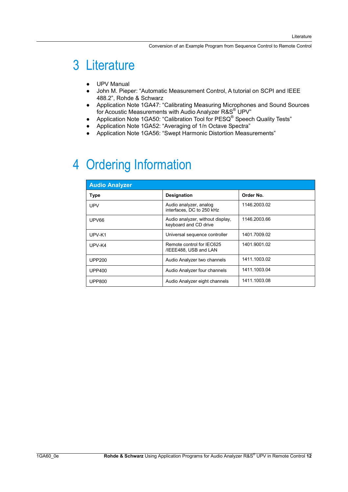# 3 Literature

- UPV Manual
- John M. Pieper: "Automatic Measurement Control, A tutorial on SCPI and IEEE 488.2", Rohde & Schwarz
- Application Note 1GA47: "Calibrating Measuring Microphones and Sound Sources for Acoustic Measurements with Audio Analyzer R&S<sup>®</sup> UPV"
- Application Note 1GA50: "Calibration Tool for PESQ® Speech Quality Tests"
- Application Note 1GA52: "Averaging of 1/n Octave Spectra"
- Application Note 1GA56: "Swept Harmonic Distortion Measurements"

# 4 Ordering Information

| <b>Audio Analyzer</b> |                                                           |              |  |  |  |
|-----------------------|-----------------------------------------------------------|--------------|--|--|--|
| <b>Type</b>           | Designation                                               | Order No.    |  |  |  |
| <b>UPV</b>            | Audio analyzer, analog<br>interfaces. DC to 250 kHz       | 1146.2003.02 |  |  |  |
| UPV66                 | Audio analyzer, without display,<br>keyboard and CD drive | 1146.2003.66 |  |  |  |
| UPV-K1                | Universal sequence controller                             | 1401.7009.02 |  |  |  |
| UPV-K4                | Remote control for IEC625<br>/IEEE488, USB and LAN        | 1401.9001.02 |  |  |  |
| <b>UPP200</b>         | Audio Analyzer two channels                               | 1411.1003.02 |  |  |  |
| <b>UPP400</b>         | Audio Analyzer four channels                              | 1411.1003.04 |  |  |  |
| <b>UPP800</b>         | Audio Analyzer eight channels                             | 1411.1003.08 |  |  |  |